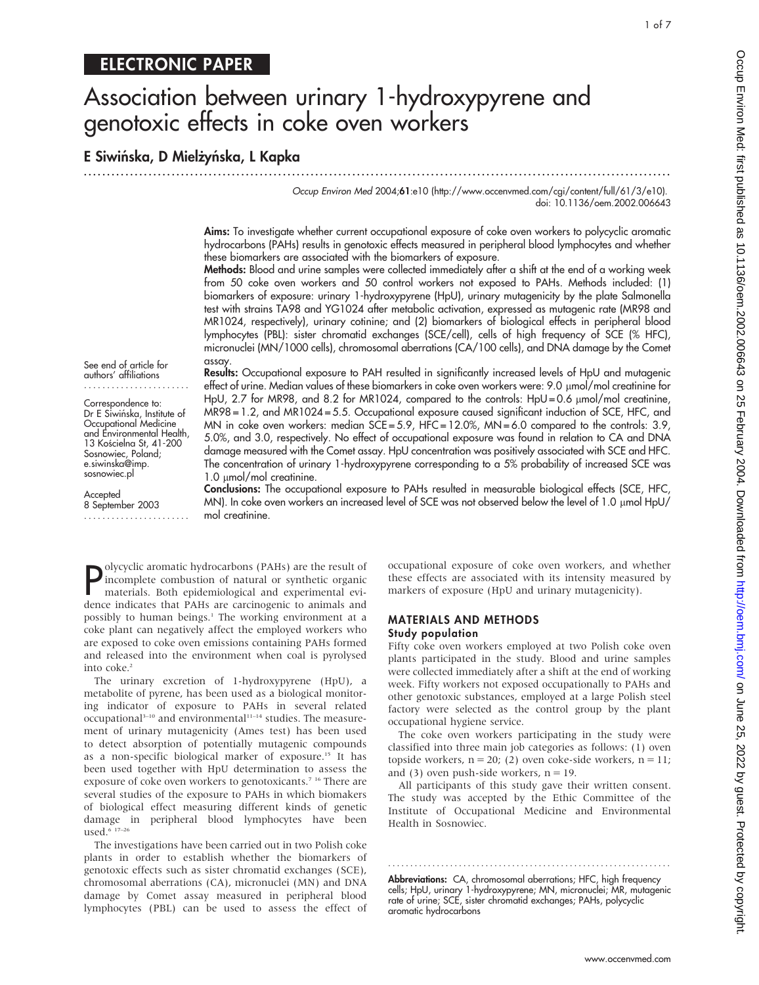# ELECTRONIC PAPER

# Association between urinary 1-hydroxypyrene and genotoxic effects in coke oven workers

E Siwińska, D Mielżyńska, L Kapka .............................................................................................................................. .

> Occup Environ Med 2004;61:e10 (http://www.occenvmed.com/cgi/content/full/61/3/e10). doi: 10.1136/oem.2002.006643

Aims: To investigate whether current occupational exposure of coke oven workers to polycyclic aromatic hydrocarbons (PAHs) results in genotoxic effects measured in peripheral blood lymphocytes and whether these biomarkers are associated with the biomarkers of exposure.

Methods: Blood and urine samples were collected immediately after a shift at the end of a working week from 50 coke oven workers and 50 control workers not exposed to PAHs. Methods included: (1) biomarkers of exposure: urinary 1-hydroxypyrene (HpU), urinary mutagenicity by the plate Salmonella test with strains TA98 and YG1024 after metabolic activation, expressed as mutagenic rate (MR98 and MR1024, respectively), urinary cotinine; and (2) biomarkers of biological effects in peripheral blood lymphocytes (PBL): sister chromatid exchanges (SCE/cell), cells of high frequency of SCE (% HFC), micronuclei (MN/1000 cells), chromosomal aberrations (CA/100 cells), and DNA damage by the Comet assay.

See end of article for authors' affiliations .......................

Correspondence to: Dr E Siwińska, Institute of Occupational Medicine and Environmental Health, 13 Kościelna St, 41-200 Sosnowiec, Poland; e.siwinska@imp. sosnowiec.pl

Accepted 8 September 2003 .......................

Results: Occupational exposure to PAH resulted in significantly increased levels of HpU and mutagenic effect of urine. Median values of these biomarkers in coke oven workers were: 9.0 µmol/mol creatinine for HpU, 2.7 for MR98, and 8.2 for MR1024, compared to the controls: HpU=0.6 µmol/mol creatinine, MR98 = 1.2, and MR1024 = 5.5. Occupational exposure caused significant induction of SCE, HFC, and MN in coke oven workers: median  $SCE = 5.9$ , HFC = 12.0%, MN = 6.0 compared to the controls: 3.9, 5.0%, and 3.0, respectively. No effect of occupational exposure was found in relation to CA and DNA damage measured with the Comet assay. HpU concentration was positively associated with SCE and HFC. The concentration of urinary 1-hydroxypyrene corresponding to a 5% probability of increased SCE was 1.0 µmol/mol creatinine.

Conclusions: The occupational exposure to PAHs resulted in measurable biological effects (SCE, HFC, MN). In coke oven workers an increased level of SCE was not observed below the level of 1.0 µmol HpU/ mol creatinine.

Polycyclic aromatic hydrocarbons (PAHs) are the result of<br>incomplete combustion of natural or synthetic organic<br>materials. Both epidemiological and experimental evi-<br>dence indicates that PAHs are carcinogenic to animals an olycyclic aromatic hydrocarbons (PAHs) are the result of incomplete combustion of natural or synthetic organic materials. Both epidemiological and experimental evipossibly to human beings.<sup>1</sup> The working environment at a coke plant can negatively affect the employed workers who are exposed to coke oven emissions containing PAHs formed and released into the environment when coal is pyrolysed into coke.<sup>2</sup>

The urinary excretion of 1-hydroxypyrene (HpU), a metabolite of pyrene, has been used as a biological monitoring indicator of exposure to PAHs in several related occupational<sup>3-10</sup> and environmental<sup>11-14</sup> studies. The measurement of urinary mutagenicity (Ames test) has been used to detect absorption of potentially mutagenic compounds as a non-specific biological marker of exposure.15 It has been used together with HpU determination to assess the exposure of coke oven workers to genotoxicants.<sup>7</sup> <sup>16</sup> There are several studies of the exposure to PAHs in which biomakers of biological effect measuring different kinds of genetic damage in peripheral blood lymphocytes have been used. $6.17-26$ 

The investigations have been carried out in two Polish coke plants in order to establish whether the biomarkers of genotoxic effects such as sister chromatid exchanges (SCE), chromosomal aberrations (CA), micronuclei (MN) and DNA damage by Comet assay measured in peripheral blood lymphocytes (PBL) can be used to assess the effect of occupational exposure of coke oven workers, and whether these effects are associated with its intensity measured by markers of exposure (HpU and urinary mutagenicity).

### MATERIALS AND METHODS

#### Study population

Fifty coke oven workers employed at two Polish coke oven plants participated in the study. Blood and urine samples were collected immediately after a shift at the end of working week. Fifty workers not exposed occupationally to PAHs and other genotoxic substances, employed at a large Polish steel factory were selected as the control group by the plant occupational hygiene service.

The coke oven workers participating in the study were classified into three main job categories as follows: (1) oven topside workers,  $n = 20$ ; (2) oven coke-side workers,  $n = 11$ ; and (3) oven push-side workers,  $n = 19$ .

All participants of this study gave their written consent. The study was accepted by the Ethic Committee of the Institute of Occupational Medicine and Environmental Health in Sosnowiec.

............................................................... . Abbreviations: CA, chromosomal aberrations; HFC, high frequency cells; HpU, urinary 1-hydroxypyrene; MN, micronuclei; MR, mutagenic rate of urine; SCE, sister chromatid exchanges; PAHs, polycyclic aromatic hydrocarbons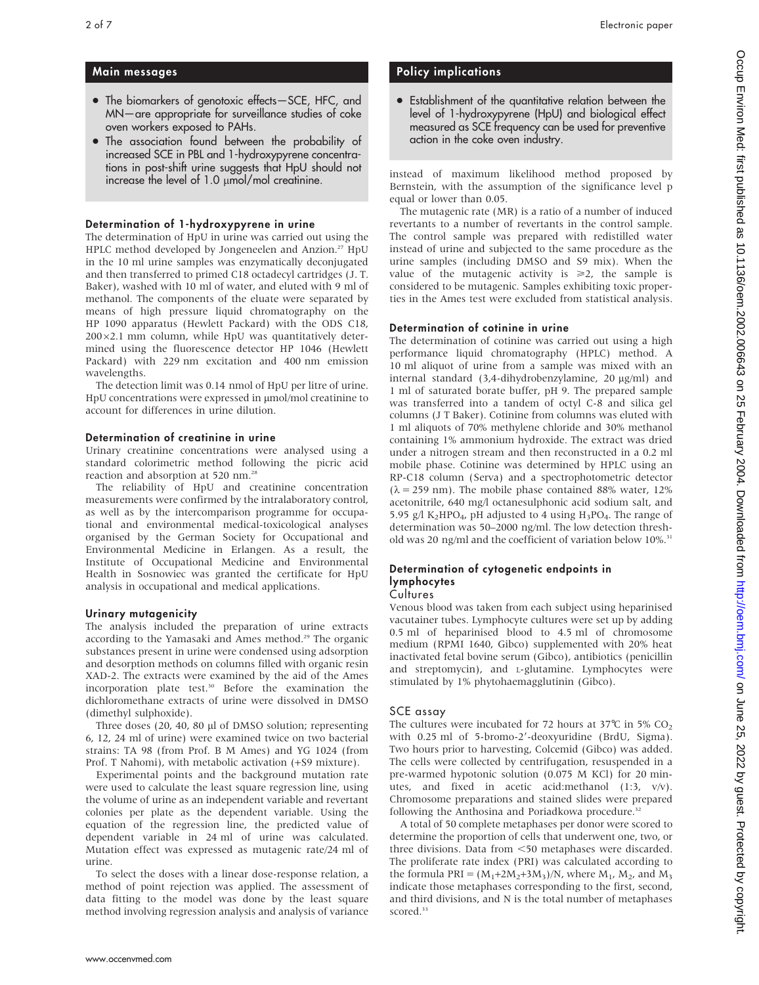- The biomarkers of genotoxic effects-SCE, HFC, and MN—are appropriate for surveillance studies of coke oven workers exposed to PAHs.
- The association found between the probability of increased SCE in PBL and 1-hydroxypyrene concentrations in post-shift urine suggests that HpU should not increase the level of  $1.0 \mu$ mol/mol creatinine.

### Determination of 1-hydroxypyrene in urine

The determination of HpU in urine was carried out using the HPLC method developed by Jongeneelen and Anzion.<sup>27</sup> HpU in the 10 ml urine samples was enzymatically deconjugated and then transferred to primed C18 octadecyl cartridges (J. T. Baker), washed with 10 ml of water, and eluted with 9 ml of methanol. The components of the eluate were separated by means of high pressure liquid chromatography on the HP 1090 apparatus (Hewlett Packard) with the ODS C18,  $200\times2.1$  mm column, while HpU was quantitatively determined using the fluorescence detector HP 1046 (Hewlett Packard) with 229 nm excitation and 400 nm emission wavelengths.

The detection limit was 0.14 nmol of HpU per litre of urine. HpU concentrations were expressed in  $\mu$ mol/mol creatinine to account for differences in urine dilution.

### Determination of creatinine in urine

Urinary creatinine concentrations were analysed using a standard colorimetric method following the picric acid reaction and absorption at 520 nm.28

The reliability of HpU and creatinine concentration measurements were confirmed by the intralaboratory control, as well as by the intercomparison programme for occupational and environmental medical-toxicological analyses organised by the German Society for Occupational and Environmental Medicine in Erlangen. As a result, the Institute of Occupational Medicine and Environmental Health in Sosnowiec was granted the certificate for HpU analysis in occupational and medical applications.

### Urinary mutagenicity

The analysis included the preparation of urine extracts according to the Yamasaki and Ames method.<sup>29</sup> The organic substances present in urine were condensed using adsorption and desorption methods on columns filled with organic resin XAD-2. The extracts were examined by the aid of the Ames incorporation plate test.<sup>30</sup> Before the examination the dichloromethane extracts of urine were dissolved in DMSO (dimethyl sulphoxide).

Three doses  $(20, 40, 80 \mu)$  of DMSO solution; representing 6, 12, 24 ml of urine) were examined twice on two bacterial strains: TA 98 (from Prof. B M Ames) and YG 1024 (from Prof. T Nahomi), with metabolic activation (+S9 mixture).

Experimental points and the background mutation rate were used to calculate the least square regression line, using the volume of urine as an independent variable and revertant colonies per plate as the dependent variable. Using the equation of the regression line, the predicted value of dependent variable in 24 ml of urine was calculated. Mutation effect was expressed as mutagenic rate/24 ml of urine.

To select the doses with a linear dose-response relation, a method of point rejection was applied. The assessment of data fitting to the model was done by the least square method involving regression analysis and analysis of variance

## Policy implications

• Establishment of the quantitative relation between the level of 1-hydroxypyrene (HpU) and biological effect measured as SCE frequency can be used for preventive action in the coke oven industry.

instead of maximum likelihood method proposed by Bernstein, with the assumption of the significance level p equal or lower than 0.05.

The mutagenic rate (MR) is a ratio of a number of induced revertants to a number of revertants in the control sample. The control sample was prepared with redistilled water instead of urine and subjected to the same procedure as the urine samples (including DMSO and S9 mix). When the value of the mutagenic activity is  $\geq 2$ , the sample is considered to be mutagenic. Samples exhibiting toxic properties in the Ames test were excluded from statistical analysis.

### Determination of cotinine in urine

The determination of cotinine was carried out using a high performance liquid chromatography (HPLC) method. A 10 ml aliquot of urine from a sample was mixed with an internal standard (3,4-dihydrobenzylamine, 20 µg/ml) and 1 ml of saturated borate buffer, pH 9. The prepared sample was transferred into a tandem of octyl C-8 and silica gel columns (J T Baker). Cotinine from columns was eluted with 1 ml aliquots of 70% methylene chloride and 30% methanol containing 1% ammonium hydroxide. The extract was dried under a nitrogen stream and then reconstructed in a 0.2 ml mobile phase. Cotinine was determined by HPLC using an RP-C18 column (Serva) and a spectrophotometric detector  $(\lambda = 259 \text{ nm})$ . The mobile phase contained 88% water, 12% acetonitrile, 640 mg/l octanesulphonic acid sodium salt, and 5.95 g/l K<sub>2</sub>HPO<sub>4</sub>, pH adjusted to 4 using H<sub>3</sub>PO<sub>4</sub>. The range of determination was 50–2000 ng/ml. The low detection threshold was 20 ng/ml and the coefficient of variation below 10%.<sup>31</sup>

### Determination of cytogenetic endpoints in lymphocytes

### **Cultures**

Venous blood was taken from each subject using heparinised vacutainer tubes. Lymphocyte cultures were set up by adding 0.5 ml of heparinised blood to 4.5 ml of chromosome medium (RPMI 1640, Gibco) supplemented with 20% heat inactivated fetal bovine serum (Gibco), antibiotics (penicillin and streptomycin), and L-glutamine. Lymphocytes were stimulated by 1% phytohaemagglutinin (Gibco).

### SCE assay

The cultures were incubated for 72 hours at 37 $^{\circ}$ C in 5% CO<sub>2</sub> with 0.25 ml of 5-bromo-2'-deoxyuridine (BrdU, Sigma). Two hours prior to harvesting, Colcemid (Gibco) was added. The cells were collected by centrifugation, resuspended in a pre-warmed hypotonic solution (0.075 M KCl) for 20 minutes, and fixed in acetic acid:methanol (1:3, v/v). Chromosome preparations and stained slides were prepared following the Anthosina and Poriadkowa procedure.<sup>32</sup>

A total of 50 complete metaphases per donor were scored to determine the proportion of cells that underwent one, two, or three divisions. Data from <50 metaphases were discarded. The proliferate rate index (PRI) was calculated according to the formula PRI =  $(M_1+2M_2+3M_3)/N$ , where  $M_1$ ,  $M_2$ , and  $M_3$ indicate those metaphases corresponding to the first, second, and third divisions, and N is the total number of metaphases scored.<sup>33</sup>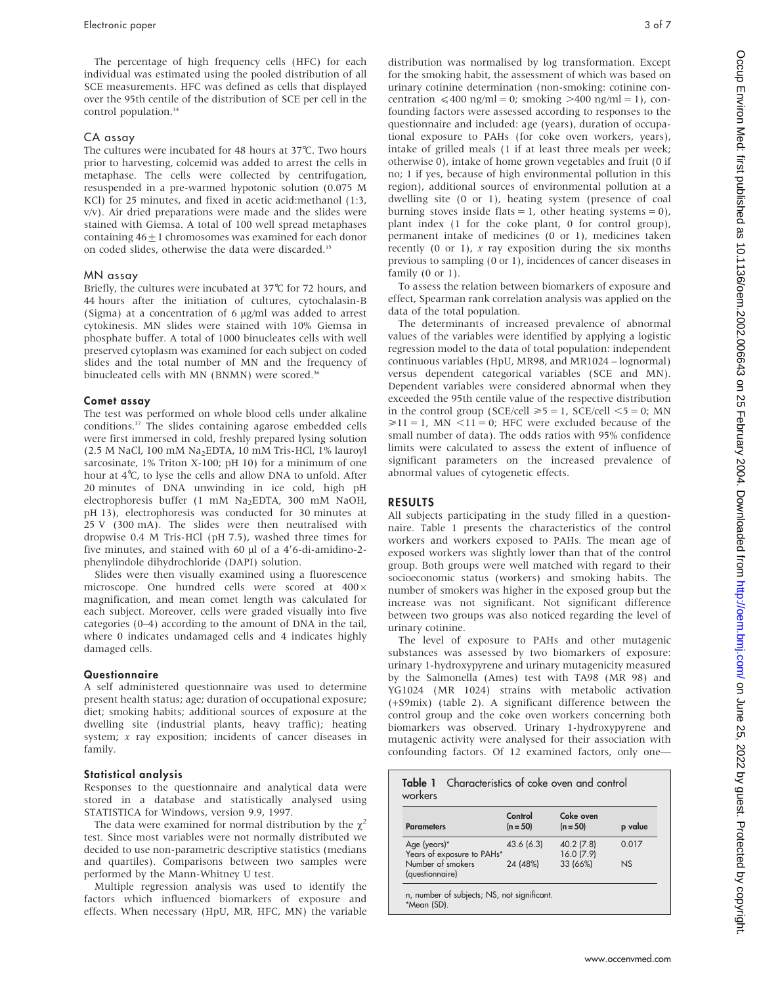The percentage of high frequency cells (HFC) for each individual was estimated using the pooled distribution of all SCE measurements. HFC was defined as cells that displayed over the 95th centile of the distribution of SCE per cell in the control population.<sup>34</sup>

#### CA assay

The cultures were incubated for 48 hours at 37˚C. Two hours prior to harvesting, colcemid was added to arrest the cells in metaphase. The cells were collected by centrifugation, resuspended in a pre-warmed hypotonic solution (0.075 M KCl) for 25 minutes, and fixed in acetic acid:methanol (1:3, v/v). Air dried preparations were made and the slides were stained with Giemsa. A total of 100 well spread metaphases containing  $46+1$  chromosomes was examined for each donor on coded slides, otherwise the data were discarded.<sup>35</sup>

#### MN assay

Briefly, the cultures were incubated at 37℃ for 72 hours, and 44 hours after the initiation of cultures, cytochalasin-B (Sigma) at a concentration of 6  $\mu$ g/ml was added to arrest cytokinesis. MN slides were stained with 10% Giemsa in phosphate buffer. A total of 1000 binucleates cells with well preserved cytoplasm was examined for each subject on coded slides and the total number of MN and the frequency of binucleated cells with MN (BNMN) were scored.<sup>36</sup>

#### Comet assay

The test was performed on whole blood cells under alkaline conditions.37 The slides containing agarose embedded cells were first immersed in cold, freshly prepared lysing solution (2.5 M NaCl, 100 mM Na2EDTA, 10 mM Tris-HCl, 1% lauroyl sarcosinate, 1% Triton X-100; pH 10) for a minimum of one hour at 4˚C, to lyse the cells and allow DNA to unfold. After 20 minutes of DNA unwinding in ice cold, high pH electrophoresis buffer (1 mM Na2EDTA, 300 mM NaOH, pH 13), electrophoresis was conducted for 30 minutes at 25 V (300 mA). The slides were then neutralised with dropwise 0.4 M Tris-HCl (pH 7.5), washed three times for five minutes, and stained with 60  $\mu$ l of a 4'6-di-amidino-2phenylindole dihydrochloride (DAPI) solution.

Slides were then visually examined using a fluorescence microscope. One hundred cells were scored at  $400 \times$ magnification, and mean comet length was calculated for each subject. Moreover, cells were graded visually into five categories (0–4) according to the amount of DNA in the tail, where 0 indicates undamaged cells and 4 indicates highly damaged cells.

#### Questionnaire

A self administered questionnaire was used to determine present health status; age; duration of occupational exposure; diet; smoking habits; additional sources of exposure at the dwelling site (industrial plants, heavy traffic); heating system; x ray exposition; incidents of cancer diseases in family.

#### Statistical analysis

Responses to the questionnaire and analytical data were stored in a database and statistically analysed using STATISTICA for Windows, version 9.9, 1997.

The data were examined for normal distribution by the  $\gamma^2$ test. Since most variables were not normally distributed we decided to use non-parametric descriptive statistics (medians and quartiles). Comparisons between two samples were performed by the Mann-Whitney U test.

Multiple regression analysis was used to identify the factors which influenced biomarkers of exposure and effects. When necessary (HpU, MR, HFC, MN) the variable

distribution was normalised by log transformation. Except for the smoking habit, the assessment of which was based on urinary cotinine determination (non-smoking: cotinine concentration  $\leq 400$  ng/ml = 0; smoking  $>400$  ng/ml = 1), confounding factors were assessed according to responses to the questionnaire and included: age (years), duration of occupational exposure to PAHs (for coke oven workers, years), intake of grilled meals (1 if at least three meals per week; otherwise 0), intake of home grown vegetables and fruit (0 if no; 1 if yes, because of high environmental pollution in this region), additional sources of environmental pollution at a dwelling site (0 or 1), heating system (presence of coal burning stoves inside flats = 1, other heating systems = 0), plant index (1 for the coke plant, 0 for control group), permanent intake of medicines (0 or 1), medicines taken recently (0 or 1),  $x$  ray exposition during the six months previous to sampling (0 or 1), incidences of cancer diseases in family (0 or 1).

To assess the relation between biomarkers of exposure and effect, Spearman rank correlation analysis was applied on the data of the total population.

The determinants of increased prevalence of abnormal values of the variables were identified by applying a logistic regression model to the data of total population: independent continuous variables (HpU, MR98, and MR1024 – lognormal) versus dependent categorical variables (SCE and MN). Dependent variables were considered abnormal when they exceeded the 95th centile value of the respective distribution in the control group (SCE/cell  $\ge 5 = 1$ , SCE/cell  $\le 5 = 0$ ; MN  $\geq 11 = 1$ , MN  $\leq 11 = 0$ ; HFC were excluded because of the small number of data). The odds ratios with 95% confidence limits were calculated to assess the extent of influence of significant parameters on the increased prevalence of abnormal values of cytogenetic effects.

#### RESULTS

All subjects participating in the study filled in a questionnaire. Table 1 presents the characteristics of the control workers and workers exposed to PAHs. The mean age of exposed workers was slightly lower than that of the control group. Both groups were well matched with regard to their socioeconomic status (workers) and smoking habits. The number of smokers was higher in the exposed group but the increase was not significant. Not significant difference between two groups was also noticed regarding the level of urinary cotinine.

The level of exposure to PAHs and other mutagenic substances was assessed by two biomarkers of exposure: urinary 1-hydroxypyrene and urinary mutagenicity measured by the Salmonella (Ames) test with TA98 (MR 98) and YG1024 (MR 1024) strains with metabolic activation (+S9mix) (table 2). A significant difference between the control group and the coke oven workers concerning both biomarkers was observed. Urinary 1-hydroxypyrene and mutagenic activity were analysed for their association with confounding factors. Of 12 examined factors, only one—

| <b>Parameters</b>                          | Control<br>$(n = 50)$ | Coke oven<br>$(n = 50)$ | p value |
|--------------------------------------------|-----------------------|-------------------------|---------|
| Age (years)*<br>Years of exposure to PAHs* | 43.6(6.3)             | 40.2 (7.8)<br>16.0(7.9) | 0.017   |
| Number of smokers<br>(questionnaire)       | 24 (48%)              | 33 (66%)                | NS      |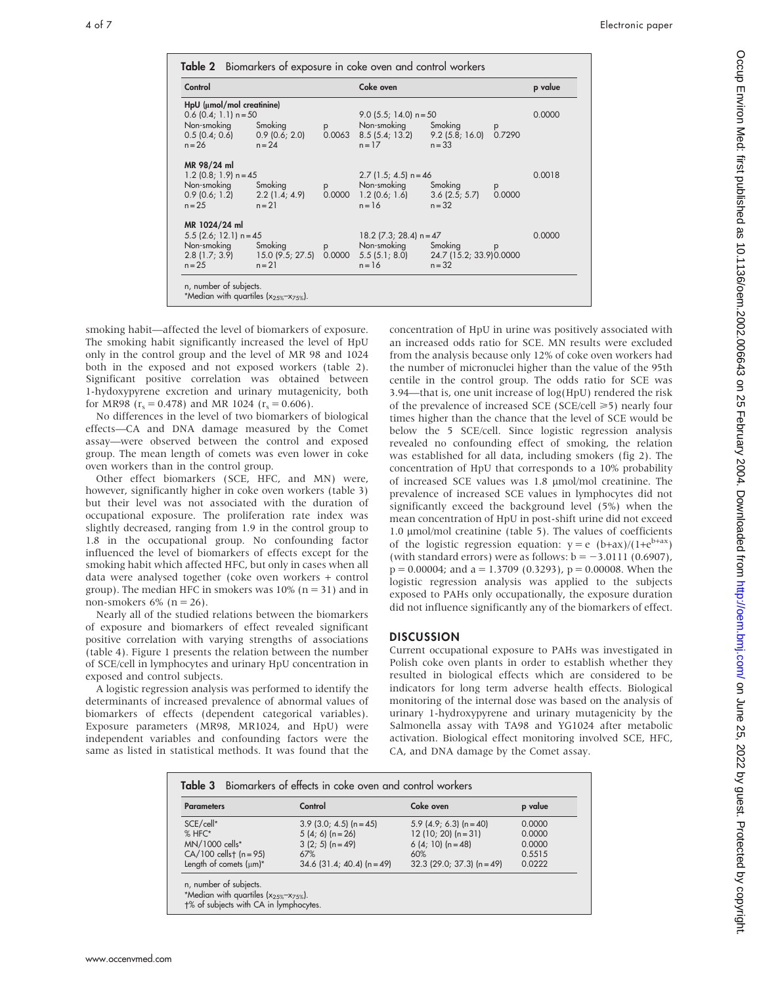| Control                                                                                                                     |                                                |             | Coke oven                                                                                                        |          |             | p value |
|-----------------------------------------------------------------------------------------------------------------------------|------------------------------------------------|-------------|------------------------------------------------------------------------------------------------------------------|----------|-------------|---------|
| HpU (µmol/mol creatinine)<br>$0.6$ (0.4; 1.1) n = 50<br>Non-smoking Smoking<br>$0.5(0.4; 0.6)$ 0.9 $(0.6; 2.0)$<br>$n = 26$ | $n = 24$                                       | p           | 9.0 $(5.5; 14.0)$ n = 50<br>Non-smoking Smoking<br>$0.0063$ $8.5(5.4; 13.2)$ $9.2(5.8; 16.0)$ $0.7290$<br>$n=17$ | $n = 33$ |             | 0.0000  |
| MR 98/24 ml<br>$1.2$ (0.8; 1.9) n = 45<br>Non-smoking Smoking<br>$n = 25$                                                   | $0.9(0.6; 1.2)$ $2.2(1.4; 4.9)$<br>$n = 21$    | p           | $2.7$ (1.5; 4.5) n = 46<br>Non-smoking Smoking<br>$0.0000 \quad 1.2$ (0.6; 1.6) $3.6$ (2.5; 5.7)<br>$n = 16$     | $n = 32$ | p<br>0.0000 | 0.0018  |
| MR 1024/24 ml<br>$5.5$ (2.6; 12.1) n = 45<br>Non-smoking Smoking<br>$n = 25$                                                | $2.8(1.7; 3.9)$ 15.0 $(9.5; 27.5)$<br>$n = 21$ | p<br>0.0000 | 18.2 $(7.3; 28.4)$ n = 47<br>Non-smoking Smoking<br>5.5 (5.1; 8.0) 24.7 (15.2; 33.9) 0.0000<br>$n = 16$          | $n = 32$ | p           | 0.0000  |

smoking habit—affected the level of biomarkers of exposure. The smoking habit significantly increased the level of HpU only in the control group and the level of MR 98 and 1024 both in the exposed and not exposed workers (table 2). Significant positive correlation was obtained between 1-hydoxypyrene excretion and urinary mutagenicity, both for MR98 ( $r_s = 0.478$ ) and MR 1024 ( $r_s = 0.606$ ).

No differences in the level of two biomarkers of biological effects—CA and DNA damage measured by the Comet assay—were observed between the control and exposed group. The mean length of comets was even lower in coke oven workers than in the control group.

Other effect biomarkers (SCE, HFC, and MN) were, however, significantly higher in coke oven workers (table 3) but their level was not associated with the duration of occupational exposure. The proliferation rate index was slightly decreased, ranging from 1.9 in the control group to 1.8 in the occupational group. No confounding factor influenced the level of biomarkers of effects except for the smoking habit which affected HFC, but only in cases when all data were analysed together (coke oven workers + control group). The median HFC in smokers was  $10\%$  (n = 31) and in non-smokers  $6\%$  (n = 26).

Nearly all of the studied relations between the biomarkers of exposure and biomarkers of effect revealed significant positive correlation with varying strengths of associations (table 4). Figure 1 presents the relation between the number of SCE/cell in lymphocytes and urinary HpU concentration in exposed and control subjects.

A logistic regression analysis was performed to identify the determinants of increased prevalence of abnormal values of biomarkers of effects (dependent categorical variables). Exposure parameters (MR98, MR1024, and HpU) were independent variables and confounding factors were the same as listed in statistical methods. It was found that the concentration of HpU in urine was positively associated with an increased odds ratio for SCE. MN results were excluded from the analysis because only 12% of coke oven workers had the number of micronuclei higher than the value of the 95th centile in the control group. The odds ratio for SCE was 3.94—that is, one unit increase of log(HpU) rendered the risk of the prevalence of increased SCE (SCE/cell  $\geq$ 5) nearly four times higher than the chance that the level of SCE would be below the 5 SCE/cell. Since logistic regression analysis revealed no confounding effect of smoking, the relation was established for all data, including smokers (fig 2). The concentration of HpU that corresponds to a 10% probability of increased SCE values was 1.8 mmol/mol creatinine. The prevalence of increased SCE values in lymphocytes did not significantly exceed the background level (5%) when the mean concentration of HpU in post-shift urine did not exceed 1.0 µmol/mol creatinine (table 5). The values of coefficients of the logistic regression equation:  $y = e (b+ax)/(1+e^{b+ax})$ (with standard errors) were as follows:  $b = -3.0111$  (0.6907),  $p = 0.00004$ ; and  $a = 1.3709$  (0.3293),  $p = 0.00008$ . When the logistic regression analysis was applied to the subjects exposed to PAHs only occupationally, the exposure duration did not influence significantly any of the biomarkers of effect.

#### **DISCUSSION**

Current occupational exposure to PAHs was investigated in Polish coke oven plants in order to establish whether they resulted in biological effects which are considered to be indicators for long term adverse health effects. Biological monitoring of the internal dose was based on the analysis of urinary 1-hydroxypyrene and urinary mutagenicity by the Salmonella assay with TA98 and YG1024 after metabolic activation. Biological effect monitoring involved SCE, HFC, CA, and DNA damage by the Comet assay.

| <b>Parameters</b>        | Control                      | Coke oven                    | p value |
|--------------------------|------------------------------|------------------------------|---------|
| SCE/cell*                | $3.9$ (3.0; 4.5) (n = 45)    | 5.9 (4.9; 6.3) (n = 40)      | 0.0000  |
| $%$ HFC*                 | $5(4; 6)$ (n = 26)           | $12(10; 20)$ (n = 31)        | 0.0000  |
| MN/1000 cells*           | $3(2; 5)$ (n = 49)           | 6 (4; 10) $(n = 48)$         | 0.0000  |
| $CA/100$ cellst (n = 95) | 67%                          | 60%                          | 0.5515  |
| Length of comets (um)*   | $34.6$ (31.4; 40.4) (n = 49) | $32.3$ (29.0: 37.3) (n = 49) | 0.0222  |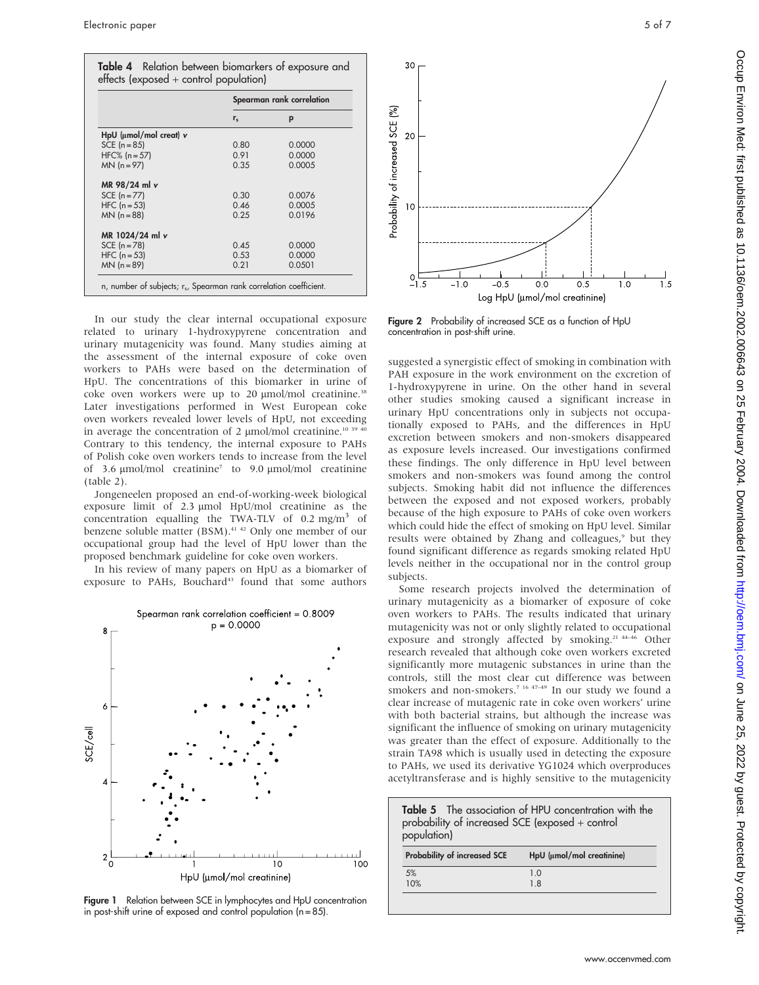|                                | Spearman rank correlation |        |
|--------------------------------|---------------------------|--------|
|                                | $r_{s}$                   | р      |
| $HpU$ ( $\mu$ mol/mol creat) v |                           |        |
| SCE $(n = 85)$                 | 0.80                      | 0.0000 |
| $HFC% (n = 57)$                | 0.91                      | 0.0000 |
| $MN (n = 97)$                  | 0.35                      | 0.0005 |
| MR 98/24 ml v                  |                           |        |
| SCE $(n = 77)$                 | 0.30                      | 0.0076 |
| $HFC (n = 53)$                 | 0.46                      | 0.0005 |
| $MN (n = 88)$                  | 0.25                      | 0.0196 |
| MR 1024/24 ml v                |                           |        |
| $SCE (n = 78)$                 | 0.45                      | 0.0000 |
| $HFC (n = 53)$                 | 0.53                      | 0.0000 |
| $MN (n = 89)$                  | 0.21                      | 0.0501 |

In our study the clear internal occupational exposure related to urinary 1-hydroxypyrene concentration and urinary mutagenicity was found. Many studies aiming at the assessment of the internal exposure of coke oven workers to PAHs were based on the determination of HpU. The concentrations of this biomarker in urine of coke oven workers were up to 20 µmol/mol creatinine.<sup>38</sup> Later investigations performed in West European coke oven workers revealed lower levels of HpU, not exceeding in average the concentration of 2  $\mu$ mol/mol creatinine.<sup>10 39</sup> Contrary to this tendency, the internal exposure to PAHs of Polish coke oven workers tends to increase from the level of 3.6  $\mu$ mol/mol creatinine<sup>7</sup> to 9.0  $\mu$ mol/mol creatinine (table 2).

Jongeneelen proposed an end-of-working-week biological exposure limit of 2.3 µmol HpU/mol creatinine as the concentration equalling the TWA-TLV of  $0.2 \text{ mg/m}^3$  of benzene soluble matter (BSM).<sup>41 42</sup> Only one member of our occupational group had the level of HpU lower than the proposed benchmark guideline for coke oven workers.

In his review of many papers on HpU as a biomarker of exposure to PAHs, Bouchard<sup>43</sup> found that some authors







Figure 2 Probability of increased SCE as a function of HpU concentration in post-shift urine.

suggested a synergistic effect of smoking in combination with PAH exposure in the work environment on the excretion of 1-hydroxypyrene in urine. On the other hand in several other studies smoking caused a significant increase in urinary HpU concentrations only in subjects not occupationally exposed to PAHs, and the differences in HpU excretion between smokers and non-smokers disappeared as exposure levels increased. Our investigations confirmed these findings. The only difference in HpU level between smokers and non-smokers was found among the control subjects. Smoking habit did not influence the differences between the exposed and not exposed workers, probably because of the high exposure to PAHs of coke oven workers which could hide the effect of smoking on HpU level. Similar results were obtained by Zhang and colleagues,<sup>9</sup> but they found significant difference as regards smoking related HpU levels neither in the occupational nor in the control group subjects.

Some research projects involved the determination of urinary mutagenicity as a biomarker of exposure of coke oven workers to PAHs. The results indicated that urinary mutagenicity was not or only slightly related to occupational exposure and strongly affected by smoking.<sup>21 44-46</sup> Other research revealed that although coke oven workers excreted significantly more mutagenic substances in urine than the controls, still the most clear cut difference was between smokers and non-smokers.<sup>7 16 47–49</sup> In our study we found a clear increase of mutagenic rate in coke oven workers' urine with both bacterial strains, but although the increase was significant the influence of smoking on urinary mutagenicity was greater than the effect of exposure. Additionally to the strain TA98 which is usually used in detecting the exposure to PAHs, we used its derivative YG1024 which overproduces acetyltransferase and is highly sensitive to the mutagenicity

| Table 5 The association of HPU concentration with the<br>probability of increased SCE (exposed + control<br>population) |                           |  |  |
|-------------------------------------------------------------------------------------------------------------------------|---------------------------|--|--|
| <b>Probability of increased SCE</b>                                                                                     | HpU (µmol/mol creatinine) |  |  |
| 5%<br>10%                                                                                                               | 1 <sub>0</sub><br>18      |  |  |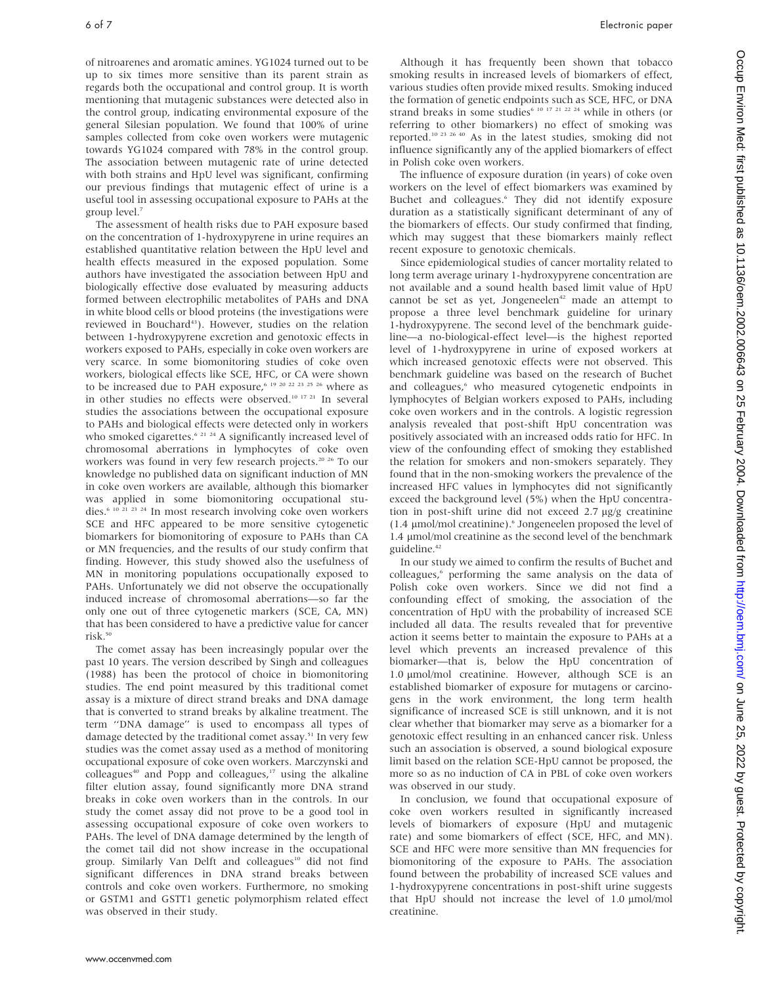of nitroarenes and aromatic amines. YG1024 turned out to be up to six times more sensitive than its parent strain as regards both the occupational and control group. It is worth mentioning that mutagenic substances were detected also in the control group, indicating environmental exposure of the general Silesian population. We found that 100% of urine samples collected from coke oven workers were mutagenic towards YG1024 compared with 78% in the control group. The association between mutagenic rate of urine detected with both strains and HpU level was significant, confirming our previous findings that mutagenic effect of urine is a useful tool in assessing occupational exposure to PAHs at the group level.7

The assessment of health risks due to PAH exposure based on the concentration of 1-hydroxypyrene in urine requires an established quantitative relation between the HpU level and health effects measured in the exposed population. Some authors have investigated the association between HpU and biologically effective dose evaluated by measuring adducts formed between electrophilic metabolites of PAHs and DNA in white blood cells or blood proteins (the investigations were reviewed in Bouchard<sup>43</sup>). However, studies on the relation between 1-hydroxypyrene excretion and genotoxic effects in workers exposed to PAHs, especially in coke oven workers are very scarce. In some biomonitoring studies of coke oven workers, biological effects like SCE, HFC, or CA were shown to be increased due to PAH exposure,<sup>6 19 20 22 23 25 26</sup> where as in other studies no effects were observed.10 17 21 In several studies the associations between the occupational exposure to PAHs and biological effects were detected only in workers who smoked cigarettes.<sup>6 21 24</sup> A significantly increased level of chromosomal aberrations in lymphocytes of coke oven workers was found in very few research projects.<sup>20 26</sup> To our knowledge no published data on significant induction of MN in coke oven workers are available, although this biomarker was applied in some biomonitoring occupational studies.6 10 21 23 24 In most research involving coke oven workers SCE and HFC appeared to be more sensitive cytogenetic biomarkers for biomonitoring of exposure to PAHs than CA or MN frequencies, and the results of our study confirm that finding. However, this study showed also the usefulness of MN in monitoring populations occupationally exposed to PAHs. Unfortunately we did not observe the occupationally induced increase of chromosomal aberrations—so far the only one out of three cytogenetic markers (SCE, CA, MN) that has been considered to have a predictive value for cancer risk.<sup>50</sup>

The comet assay has been increasingly popular over the past 10 years. The version described by Singh and colleagues (1988) has been the protocol of choice in biomonitoring studies. The end point measured by this traditional comet assay is a mixture of direct strand breaks and DNA damage that is converted to strand breaks by alkaline treatment. The term ''DNA damage'' is used to encompass all types of damage detected by the traditional comet assay.<sup>51</sup> In very few studies was the comet assay used as a method of monitoring occupational exposure of coke oven workers. Marczynski and colleagues<sup>40</sup> and Popp and colleagues, $17$  using the alkaline filter elution assay, found significantly more DNA strand breaks in coke oven workers than in the controls. In our study the comet assay did not prove to be a good tool in assessing occupational exposure of coke oven workers to PAHs. The level of DNA damage determined by the length of the comet tail did not show increase in the occupational group. Similarly Van Delft and colleagues<sup>10</sup> did not find significant differences in DNA strand breaks between controls and coke oven workers. Furthermore, no smoking or GSTM1 and GSTT1 genetic polymorphism related effect was observed in their study.

Although it has frequently been shown that tobacco smoking results in increased levels of biomarkers of effect, various studies often provide mixed results. Smoking induced the formation of genetic endpoints such as SCE, HFC, or DNA strand breaks in some studies<sup>6 10 17 21 22 24</sup> while in others (or referring to other biomarkers) no effect of smoking was reported.10 23 26 40 As in the latest studies, smoking did not influence significantly any of the applied biomarkers of effect in Polish coke oven workers.

The influence of exposure duration (in years) of coke oven workers on the level of effect biomarkers was examined by Buchet and colleagues.<sup>6</sup> They did not identify exposure duration as a statistically significant determinant of any of the biomarkers of effects. Our study confirmed that finding, which may suggest that these biomarkers mainly reflect recent exposure to genotoxic chemicals.

Since epidemiological studies of cancer mortality related to long term average urinary 1-hydroxypyrene concentration are not available and a sound health based limit value of HpU cannot be set as yet, Jongeneelen<sup>42</sup> made an attempt to propose a three level benchmark guideline for urinary 1-hydroxypyrene. The second level of the benchmark guideline—a no-biological-effect level—is the highest reported level of 1-hydroxypyrene in urine of exposed workers at which increased genotoxic effects were not observed. This benchmark guideline was based on the research of Buchet and colleagues,<sup>6</sup> who measured cytogenetic endpoints in lymphocytes of Belgian workers exposed to PAHs, including coke oven workers and in the controls. A logistic regression analysis revealed that post-shift HpU concentration was positively associated with an increased odds ratio for HFC. In view of the confounding effect of smoking they established the relation for smokers and non-smokers separately. They found that in the non-smoking workers the prevalence of the increased HFC values in lymphocytes did not significantly exceed the background level (5%) when the HpU concentration in post-shift urine did not exceed  $2.7 \mu$ g/g creatinine  $(1.4 \mu$ mol/mol creatinine).<sup>6</sup> Jongeneelen proposed the level of 1.4 µmol/mol creatinine as the second level of the benchmark guideline.<sup>42</sup>

In our study we aimed to confirm the results of Buchet and colleagues,<sup>6</sup> performing the same analysis on the data of Polish coke oven workers. Since we did not find a confounding effect of smoking, the association of the concentration of HpU with the probability of increased SCE included all data. The results revealed that for preventive action it seems better to maintain the exposure to PAHs at a level which prevents an increased prevalence of this biomarker—that is, below the HpU concentration of 1.0  $\mu$ mol/mol creatinine. However, although SCE is an established biomarker of exposure for mutagens or carcinogens in the work environment, the long term health significance of increased SCE is still unknown, and it is not clear whether that biomarker may serve as a biomarker for a genotoxic effect resulting in an enhanced cancer risk. Unless such an association is observed, a sound biological exposure limit based on the relation SCE-HpU cannot be proposed, the more so as no induction of CA in PBL of coke oven workers was observed in our study.

In conclusion, we found that occupational exposure of coke oven workers resulted in significantly increased levels of biomarkers of exposure (HpU and mutagenic rate) and some biomarkers of effect (SCE, HFC, and MN). SCE and HFC were more sensitive than MN frequencies for biomonitoring of the exposure to PAHs. The association found between the probability of increased SCE values and 1-hydroxypyrene concentrations in post-shift urine suggests that HpU should not increase the level of 1.0  $\mu$ mol/mol creatinine.